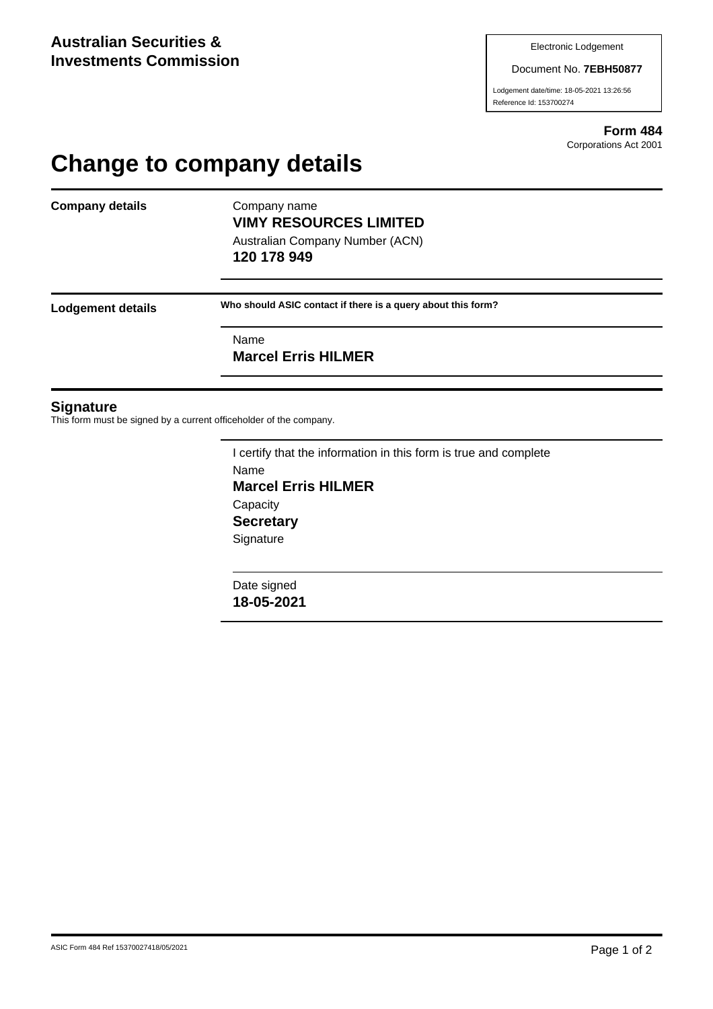#### Document No. **7EBH50877**

Lodgement date/time: 18-05-2021 13:26:56 Reference Id: 153700274

> **Form 484** Corporations Act 2001

# **Change to company details**

**Company details** Company name

**VIMY RESOURCES LIMITED** Australian Company Number (ACN) **120 178 949**

**Lodgement details Who should ASIC contact if there is a query about this form?**

Name

**Marcel Erris HILMER**

#### **Signature**

This form must be signed by a current officeholder of the company.

I certify that the information in this form is true and complete Name **Marcel Erris HILMER Capacity Secretary Signature** 

Date signed **18-05-2021**